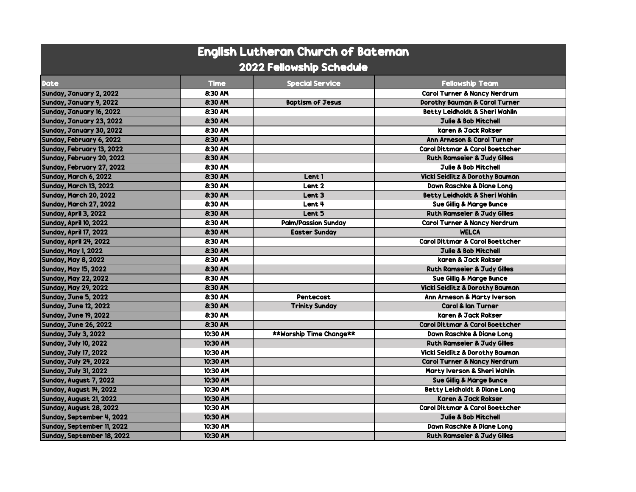| <b>English Lutheran Church of Bateman</b> |             |                                |                                            |  |  |  |
|-------------------------------------------|-------------|--------------------------------|--------------------------------------------|--|--|--|
| <b>2022 Fellowship Schedule</b>           |             |                                |                                            |  |  |  |
| <b>Date</b>                               | <b>Time</b> | <b>Special Service</b>         | <b>Fellowship Team</b>                     |  |  |  |
| Sunday, January 2, 2022                   | 8:30 AM     |                                | <b>Carol Turner &amp; Nancy Nerdrum</b>    |  |  |  |
| Sunday, January 9, 2022                   | 8:30 AM     | <b>Baptism of Jesus</b>        | <b>Dorothy Bauman &amp; Carol Turner</b>   |  |  |  |
| Sunday, January 16, 2022                  | 8:30 AM     |                                | <b>Betty Leidholdt &amp; Sheri Wahlin</b>  |  |  |  |
| Sunday, January 23, 2022                  | 8:30 AM     |                                | <b>Julie &amp; Bob Mitchell</b>            |  |  |  |
| Sunday, January 30, 2022                  | 8:30 AM     |                                | karen & Jack Rokser                        |  |  |  |
| Sunday, February 6, 2022                  | 8:30 AM     |                                | <b>Ann Arneson &amp; Carol Turner</b>      |  |  |  |
| Sunday, February 13, 2022                 | 8:30 AM     |                                | <b>Carol Dittmar &amp; Carol Boettcher</b> |  |  |  |
| Sunday, February 20, 2022                 | 8:30 AM     |                                | <b>Ruth Ramseier &amp; Judy Gilles</b>     |  |  |  |
| Sunday, February 27, 2022                 | 8:30 AM     |                                | <b>Julie &amp; Bob Mitchell</b>            |  |  |  |
| Sunday, March 6, 2022                     | 8:30 AM     | Lent 1                         | <b>Vicki Seidlitz &amp; Dorothy Bauman</b> |  |  |  |
| Sunday, March 13, 2022                    | 8:30 AM     | Lent <sub>2</sub>              | <b>Dawn Raschke &amp; Diane Lona</b>       |  |  |  |
| Sunday, March 20, 2022                    | 8:30 AM     | Lent <sub>3</sub>              | <b>Betty Leidholdt &amp; Sheri Wahlin</b>  |  |  |  |
| Sunday, March 27, 2022                    | 8:30 AM     | Lent 4                         | <b>Sue Gillig &amp; Marge Bunce</b>        |  |  |  |
| Sunday, April 3, 2022                     | 8:30 AM     | Lent 5                         | <b>Ruth Ramseier &amp; Judy Gilles</b>     |  |  |  |
| Sunday, April 10, 2022                    | 8:30 AM     | <b>Palm/Passion Sunday</b>     | <b>Carol Turner &amp; Nancy Nerdrum</b>    |  |  |  |
| Sunday, April 17, 2022                    | 8:30 AM     | <b>Easter Sunday</b>           | <b>WELCA</b>                               |  |  |  |
| Sunday, April 24, 2022                    | 8:30 AM     |                                | <b>Carol Dittmar &amp; Carol Boettcher</b> |  |  |  |
| <b>Sunday, May 1, 2022</b>                | 8:30 AM     |                                | <b>Julie &amp; Bob Mitchell</b>            |  |  |  |
| <b>Sunday, May 8, 2022</b>                | 8:30 AM     |                                | karen & Jack Rokser                        |  |  |  |
| <b>Sunday, May 15, 2022</b>               | 8:30 AM     |                                | <b>Ruth Ramseier &amp; Judy Gilles</b>     |  |  |  |
| <b>Sunday, May 22, 2022</b>               | 8:30 AM     |                                | <b>Sue Gillig &amp; Marge Bunce</b>        |  |  |  |
| <b>Sunday, May 29, 2022</b>               | 8:30 AM     |                                | <b>Vicki Seidlitz &amp; Dorothy Bauman</b> |  |  |  |
| Sunday, June 5, 2022                      | 8:30 AM     | Pentecost                      | Ann Arneson & Marty Iverson                |  |  |  |
| <b>Sunday, June 12, 2022</b>              | 8:30 AM     | <b>Trinity Sunday</b>          | <b>Carol &amp; lan Turner</b>              |  |  |  |
| <b>Sunday, June 19, 2022</b>              | 8:30 AM     |                                | karen & Jack Rokser                        |  |  |  |
| <b>Sunday, June 26, 2022</b>              | 8:30 AM     |                                | <b>Carol Dittmar &amp; Carol Boettcher</b> |  |  |  |
| Sunday, July 3, 2022                      | 10:30 AM    | <b>**Worship Time Change**</b> | <b>Dawn Raschke &amp; Diane Long</b>       |  |  |  |
| <b>Sunday, July 10, 2022</b>              | 10:30 AM    |                                | <b>Ruth Ramseier &amp; Judy Gilles</b>     |  |  |  |
| Sunday, July 17, 2022                     | 10:30 AM    |                                | <b>Vicki Seidlitz &amp; Dorothy Bauman</b> |  |  |  |
| <b>Sunday, July 24, 2022</b>              | 10:30 AM    |                                | <b>Carol Turner &amp; Nancy Nerdrum</b>    |  |  |  |
| <b>Sunday, July 31, 2022</b>              | 10:30 AM    |                                | Marty Iverson & Sheri Wahlin               |  |  |  |
| Sunday, August 7, 2022                    | 10:30 AM    |                                | Sue Gillig & Marge Bunce                   |  |  |  |
| Sunday, August 14, 2022                   | 10:30 AM    |                                | <b>Betty Leidholdt &amp; Diane Long</b>    |  |  |  |
| Sunday, August 21, 2022                   | 10:30 AM    |                                | <b>Karen &amp; Jack Rokser</b>             |  |  |  |
| Sunday, August 28, 2022                   | 10:30 AM    |                                | <b>Carol Dittmar &amp; Carol Boettcher</b> |  |  |  |
| Sunday, September 4, 2022                 | 10:30 AM    |                                | <b>Julie &amp; Bob Mitchell</b>            |  |  |  |
| Sunday, September 11, 2022                | 10:30 AM    |                                | <b>Dawn Raschke &amp; Diane Long</b>       |  |  |  |
| Sunday, September 18, 2022                | 10:30 AM    |                                | <b>Ruth Ramseier &amp; Judy Gilles</b>     |  |  |  |